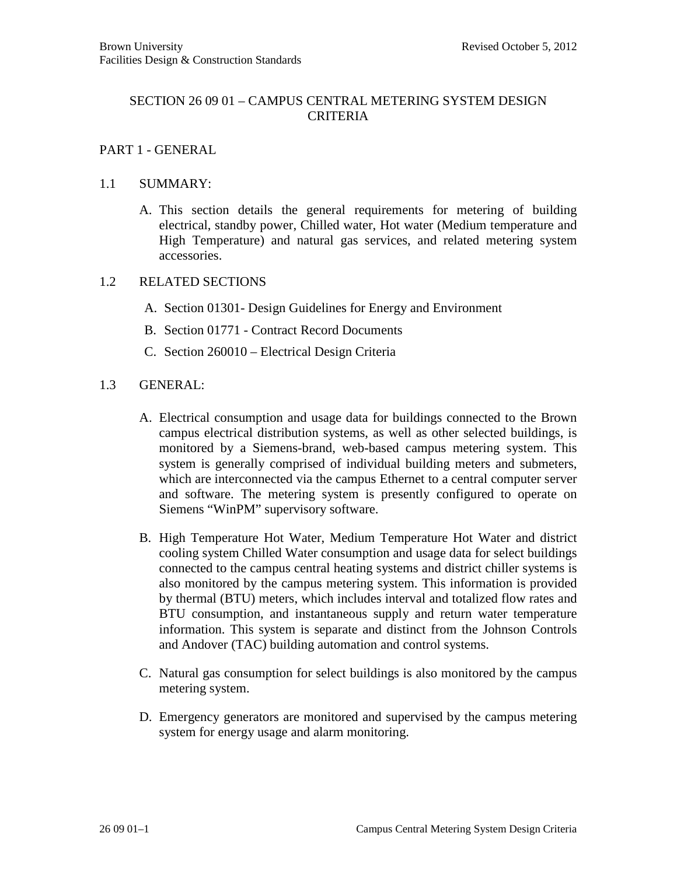# SECTION 26 09 01 – CAMPUS CENTRAL METERING SYSTEM DESIGN CRITERIA

# PART 1 - GENERAL

### 1.1 SUMMARY:

A. This section details the general requirements for metering of building electrical, standby power, Chilled water, Hot water (Medium temperature and High Temperature) and natural gas services, and related metering system accessories.

#### 1.2 RELATED SECTIONS

- A. Section 01301- Design Guidelines for Energy and Environment
- B. Section 01771 Contract Record Documents
- C. Section 260010 Electrical Design Criteria

# 1.3 GENERAL:

- A. Electrical consumption and usage data for buildings connected to the Brown campus electrical distribution systems, as well as other selected buildings, is monitored by a Siemens-brand, web-based campus metering system. This system is generally comprised of individual building meters and submeters, which are interconnected via the campus Ethernet to a central computer server and software. The metering system is presently configured to operate on Siemens "WinPM" supervisory software.
- B. High Temperature Hot Water, Medium Temperature Hot Water and district cooling system Chilled Water consumption and usage data for select buildings connected to the campus central heating systems and district chiller systems is also monitored by the campus metering system. This information is provided by thermal (BTU) meters, which includes interval and totalized flow rates and BTU consumption, and instantaneous supply and return water temperature information. This system is separate and distinct from the Johnson Controls and Andover (TAC) building automation and control systems.
- C. Natural gas consumption for select buildings is also monitored by the campus metering system.
- D. Emergency generators are monitored and supervised by the campus metering system for energy usage and alarm monitoring.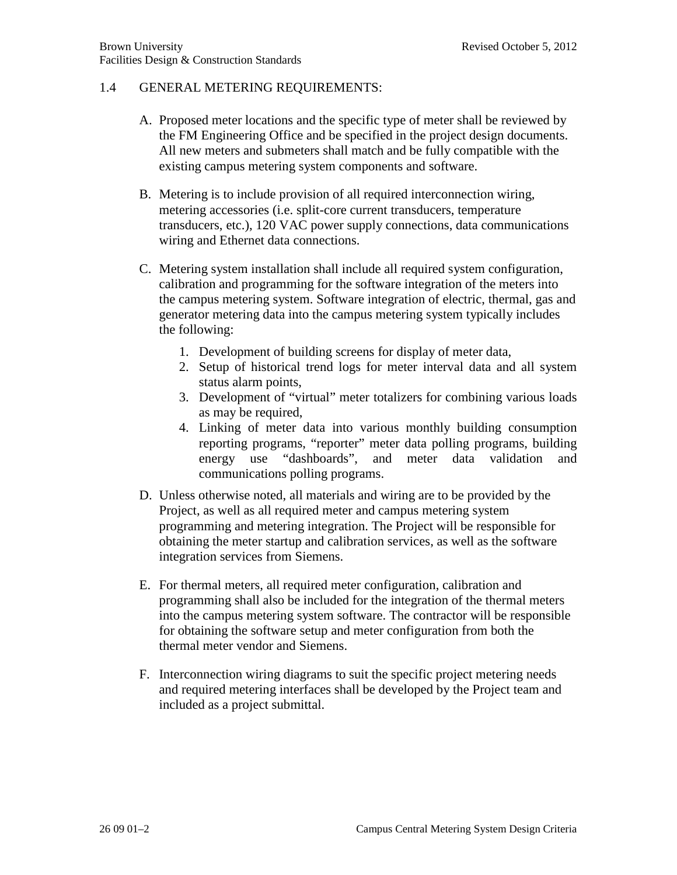# 1.4 GENERAL METERING REQUIREMENTS:

- A. Proposed meter locations and the specific type of meter shall be reviewed by the FM Engineering Office and be specified in the project design documents. All new meters and submeters shall match and be fully compatible with the existing campus metering system components and software.
- B. Metering is to include provision of all required interconnection wiring, metering accessories (i.e. split-core current transducers, temperature transducers, etc.), 120 VAC power supply connections, data communications wiring and Ethernet data connections.
- C. Metering system installation shall include all required system configuration, calibration and programming for the software integration of the meters into the campus metering system. Software integration of electric, thermal, gas and generator metering data into the campus metering system typically includes the following:
	- 1. Development of building screens for display of meter data,
	- 2. Setup of historical trend logs for meter interval data and all system status alarm points,
	- 3. Development of "virtual" meter totalizers for combining various loads as may be required,
	- 4. Linking of meter data into various monthly building consumption reporting programs, "reporter" meter data polling programs, building energy use "dashboards", and meter data validation and communications polling programs.
- D. Unless otherwise noted, all materials and wiring are to be provided by the Project, as well as all required meter and campus metering system programming and metering integration. The Project will be responsible for obtaining the meter startup and calibration services, as well as the software integration services from Siemens.
- E. For thermal meters, all required meter configuration, calibration and programming shall also be included for the integration of the thermal meters into the campus metering system software. The contractor will be responsible for obtaining the software setup and meter configuration from both the thermal meter vendor and Siemens.
- F. Interconnection wiring diagrams to suit the specific project metering needs and required metering interfaces shall be developed by the Project team and included as a project submittal.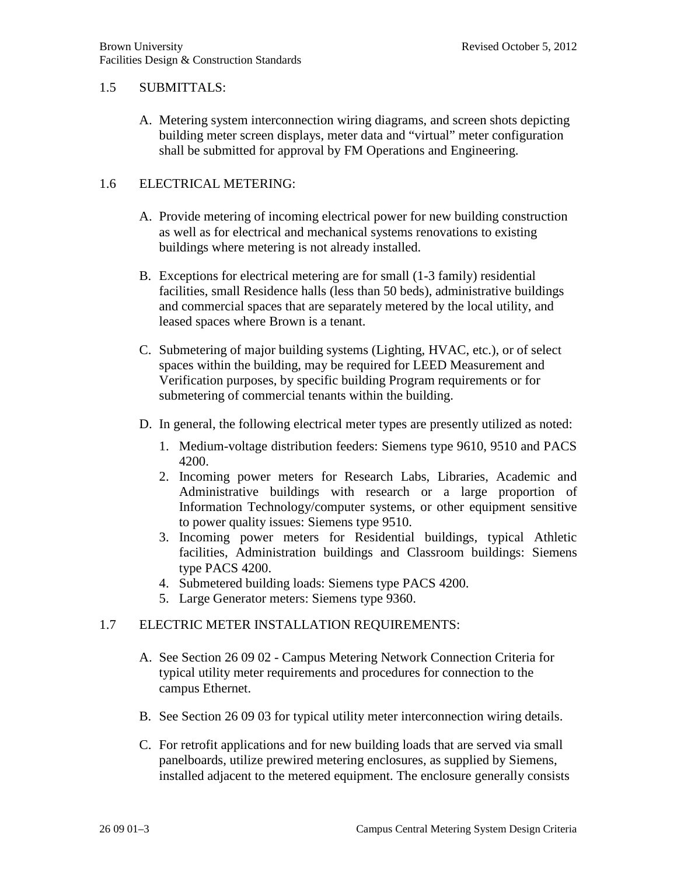### 1.5 SUBMITTALS:

A. Metering system interconnection wiring diagrams, and screen shots depicting building meter screen displays, meter data and "virtual" meter configuration shall be submitted for approval by FM Operations and Engineering.

# 1.6 ELECTRICAL METERING:

- A. Provide metering of incoming electrical power for new building construction as well as for electrical and mechanical systems renovations to existing buildings where metering is not already installed.
- B. Exceptions for electrical metering are for small (1-3 family) residential facilities, small Residence halls (less than 50 beds), administrative buildings and commercial spaces that are separately metered by the local utility, and leased spaces where Brown is a tenant.
- C. Submetering of major building systems (Lighting, HVAC, etc.), or of select spaces within the building, may be required for LEED Measurement and Verification purposes, by specific building Program requirements or for submetering of commercial tenants within the building.
- D. In general, the following electrical meter types are presently utilized as noted:
	- 1. Medium-voltage distribution feeders: Siemens type 9610, 9510 and PACS 4200.
	- 2. Incoming power meters for Research Labs, Libraries, Academic and Administrative buildings with research or a large proportion of Information Technology/computer systems, or other equipment sensitive to power quality issues: Siemens type 9510.
	- 3. Incoming power meters for Residential buildings, typical Athletic facilities, Administration buildings and Classroom buildings: Siemens type PACS 4200.
	- 4. Submetered building loads: Siemens type PACS 4200.
	- 5. Large Generator meters: Siemens type 9360.

# 1.7 ELECTRIC METER INSTALLATION REQUIREMENTS:

- A. See Section 26 09 02 Campus Metering Network Connection Criteria for typical utility meter requirements and procedures for connection to the campus Ethernet.
- B. See Section 26 09 03 for typical utility meter interconnection wiring details.
- C. For retrofit applications and for new building loads that are served via small panelboards, utilize prewired metering enclosures, as supplied by Siemens, installed adjacent to the metered equipment. The enclosure generally consists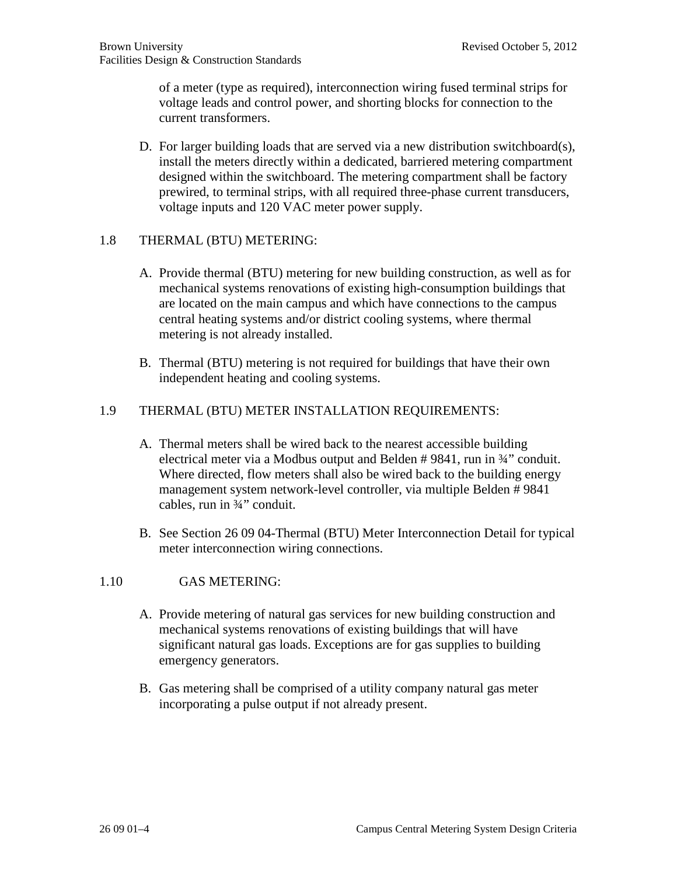of a meter (type as required), interconnection wiring fused terminal strips for voltage leads and control power, and shorting blocks for connection to the current transformers.

D. For larger building loads that are served via a new distribution switchboard(s), install the meters directly within a dedicated, barriered metering compartment designed within the switchboard. The metering compartment shall be factory prewired, to terminal strips, with all required three-phase current transducers, voltage inputs and 120 VAC meter power supply.

# 1.8 THERMAL (BTU) METERING:

- A. Provide thermal (BTU) metering for new building construction, as well as for mechanical systems renovations of existing high-consumption buildings that are located on the main campus and which have connections to the campus central heating systems and/or district cooling systems, where thermal metering is not already installed.
- B. Thermal (BTU) metering is not required for buildings that have their own independent heating and cooling systems.

# 1.9 THERMAL (BTU) METER INSTALLATION REQUIREMENTS:

- A. Thermal meters shall be wired back to the nearest accessible building electrical meter via a Modbus output and Belden # 9841, run in ¾" conduit. Where directed, flow meters shall also be wired back to the building energy management system network-level controller, via multiple Belden # 9841 cables, run in ¾" conduit.
- B. See Section 26 09 04-Thermal (BTU) Meter Interconnection Detail for typical meter interconnection wiring connections.

# 1.10 GAS METERING:

- A. Provide metering of natural gas services for new building construction and mechanical systems renovations of existing buildings that will have significant natural gas loads. Exceptions are for gas supplies to building emergency generators.
- B. Gas metering shall be comprised of a utility company natural gas meter incorporating a pulse output if not already present.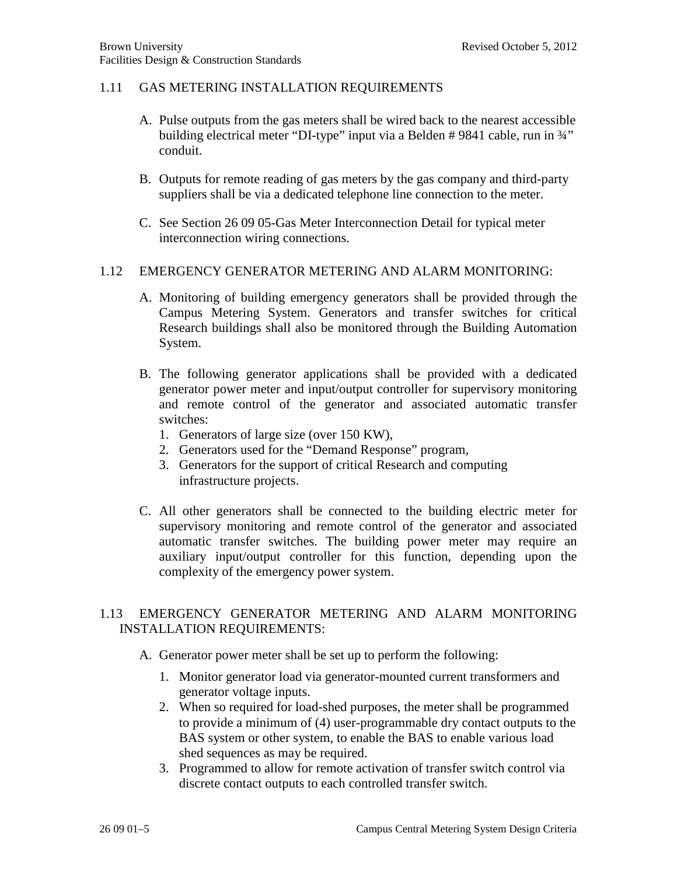### 1.11 GAS METERING INSTALLATION REQUIREMENTS

- A. Pulse outputs from the gas meters shall be wired back to the nearest accessible building electrical meter "DI-type" input via a Belden # 9841 cable, run in ¾" conduit.
- B. Outputs for remote reading of gas meters by the gas company and third-party suppliers shall be via a dedicated telephone line connection to the meter.
- C. See Section 26 09 05-Gas Meter Interconnection Detail for typical meter interconnection wiring connections.

# 1.12 EMERGENCY GENERATOR METERING AND ALARM MONITORING:

- A. Monitoring of building emergency generators shall be provided through the Campus Metering System. Generators and transfer switches for critical Research buildings shall also be monitored through the Building Automation System.
- B. The following generator applications shall be provided with a dedicated generator power meter and input/output controller for supervisory monitoring and remote control of the generator and associated automatic transfer switches:
	- 1. Generators of large size (over 150 KW),
	- 2. Generators used for the "Demand Response" program,
	- 3. Generators for the support of critical Research and computing infrastructure projects.
- C. All other generators shall be connected to the building electric meter for supervisory monitoring and remote control of the generator and associated automatic transfer switches. The building power meter may require an auxiliary input/output controller for this function, depending upon the complexity of the emergency power system.

# 1.13 EMERGENCY GENERATOR METERING AND ALARM MONITORING INSTALLATION REQUIREMENTS:

- A. Generator power meter shall be set up to perform the following:
	- 1. Monitor generator load via generator-mounted current transformers and generator voltage inputs.
	- 2. When so required for load-shed purposes, the meter shall be programmed to provide a minimum of (4) user-programmable dry contact outputs to the BAS system or other system, to enable the BAS to enable various load shed sequences as may be required.
	- 3. Programmed to allow for remote activation of transfer switch control via discrete contact outputs to each controlled transfer switch.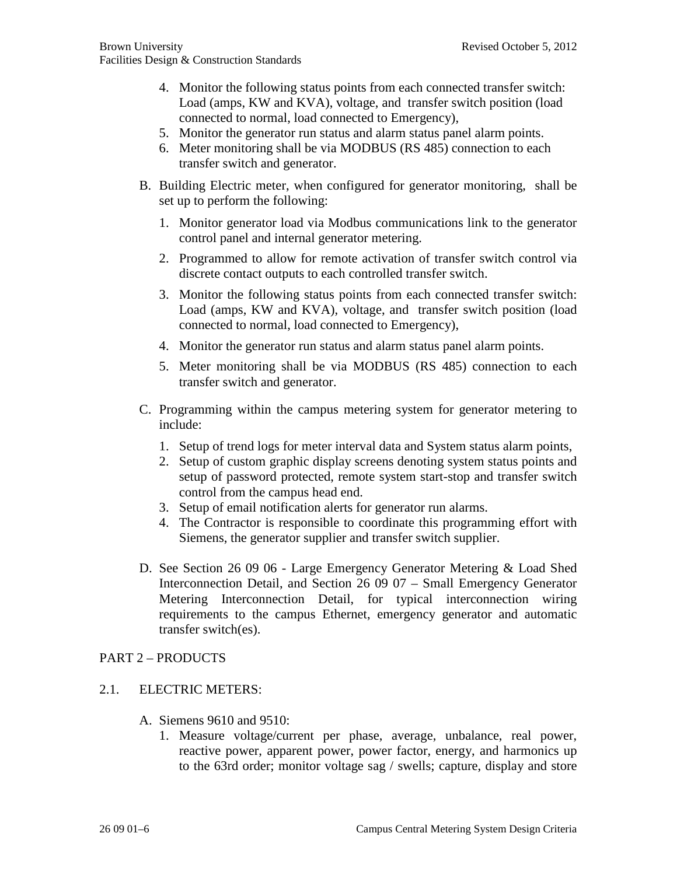- 4. Monitor the following status points from each connected transfer switch: Load (amps, KW and KVA), voltage, and transfer switch position (load connected to normal, load connected to Emergency),
- 5. Monitor the generator run status and alarm status panel alarm points.
- 6. Meter monitoring shall be via MODBUS (RS 485) connection to each transfer switch and generator.
- B. Building Electric meter, when configured for generator monitoring, shall be set up to perform the following:
	- 1. Monitor generator load via Modbus communications link to the generator control panel and internal generator metering.
	- 2. Programmed to allow for remote activation of transfer switch control via discrete contact outputs to each controlled transfer switch.
	- 3. Monitor the following status points from each connected transfer switch: Load (amps, KW and KVA), voltage, and transfer switch position (load connected to normal, load connected to Emergency),
	- 4. Monitor the generator run status and alarm status panel alarm points.
	- 5. Meter monitoring shall be via MODBUS (RS 485) connection to each transfer switch and generator.
- C. Programming within the campus metering system for generator metering to include:
	- 1. Setup of trend logs for meter interval data and System status alarm points,
	- 2. Setup of custom graphic display screens denoting system status points and setup of password protected, remote system start-stop and transfer switch control from the campus head end.
	- 3. Setup of email notification alerts for generator run alarms.
	- 4. The Contractor is responsible to coordinate this programming effort with Siemens, the generator supplier and transfer switch supplier.
- D. See Section 26 09 06 Large Emergency Generator Metering & Load Shed Interconnection Detail, and Section 26 09 07 – Small Emergency Generator Metering Interconnection Detail, for typical interconnection wiring requirements to the campus Ethernet, emergency generator and automatic transfer switch(es).

# PART 2 – PRODUCTS

# 2.1. ELECTRIC METERS:

- A. Siemens 9610 and 9510:
	- 1. Measure voltage/current per phase, average, unbalance, real power, reactive power, apparent power, power factor, energy, and harmonics up to the 63rd order; monitor voltage sag / swells; capture, display and store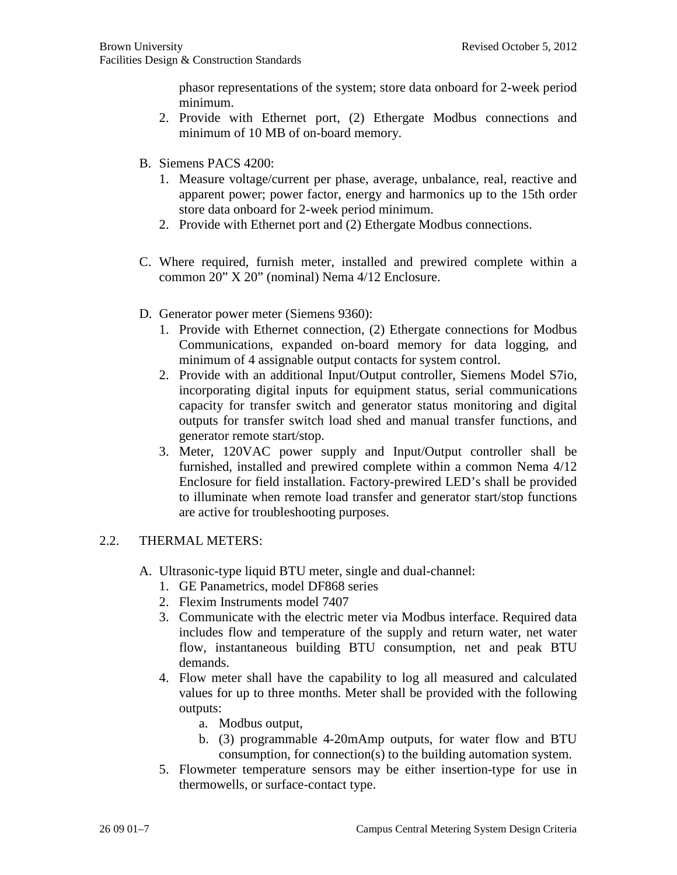phasor representations of the system; store data onboard for 2-week period minimum.

- 2. Provide with Ethernet port, (2) Ethergate Modbus connections and minimum of 10 MB of on-board memory.
- B. Siemens PACS 4200:
	- 1. Measure voltage/current per phase, average, unbalance, real, reactive and apparent power; power factor, energy and harmonics up to the 15th order store data onboard for 2-week period minimum.
	- 2. Provide with Ethernet port and (2) Ethergate Modbus connections.
- C. Where required, furnish meter, installed and prewired complete within a common 20" X 20" (nominal) Nema 4/12 Enclosure.
- D. Generator power meter (Siemens 9360):
	- 1. Provide with Ethernet connection, (2) Ethergate connections for Modbus Communications, expanded on-board memory for data logging, and minimum of 4 assignable output contacts for system control.
	- 2. Provide with an additional Input/Output controller, Siemens Model S7io, incorporating digital inputs for equipment status, serial communications capacity for transfer switch and generator status monitoring and digital outputs for transfer switch load shed and manual transfer functions, and generator remote start/stop.
	- 3. Meter, 120VAC power supply and Input/Output controller shall be furnished, installed and prewired complete within a common Nema 4/12 Enclosure for field installation. Factory-prewired LED's shall be provided to illuminate when remote load transfer and generator start/stop functions are active for troubleshooting purposes.

# 2.2. THERMAL METERS:

- A. Ultrasonic-type liquid BTU meter, single and dual-channel:
	- 1. GE Panametrics, model DF868 series
	- 2. Flexim Instruments model 7407
	- 3. Communicate with the electric meter via Modbus interface. Required data includes flow and temperature of the supply and return water, net water flow, instantaneous building BTU consumption, net and peak BTU demands.
	- 4. Flow meter shall have the capability to log all measured and calculated values for up to three months. Meter shall be provided with the following outputs:
		- a. Modbus output,
		- b. (3) programmable 4-20mAmp outputs, for water flow and BTU consumption, for connection(s) to the building automation system.
	- 5. Flowmeter temperature sensors may be either insertion-type for use in thermowells, or surface-contact type.